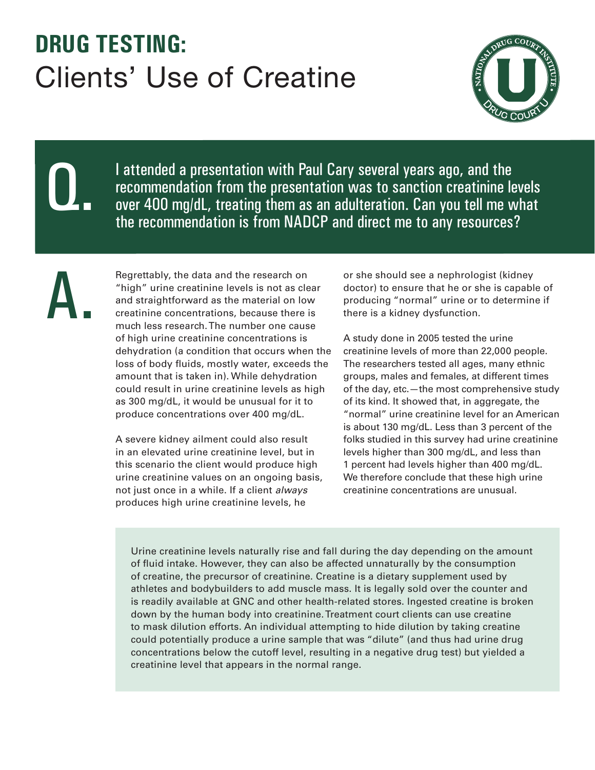## **DRUG TESTING:**  Clients' Use of Creatine



Q.

I attended a presentation with Paul Cary several years ago, and the recommendation from the presentation was to sanction creatinine levels over 400 mg/dL, treating them as an adulteration. Can you tell me what the recommendation is from NADCP and direct me to any resources?

A.

Regrettably, the data and the research on "high" urine creatinine levels is not as clear and straightforward as the material on low creatinine concentrations, because there is much less research. The number one cause of high urine creatinine concentrations is dehydration (a condition that occurs when the loss of body fluids, mostly water, exceeds the amount that is taken in). While dehydration could result in urine creatinine levels as high as 300 mg/dL, it would be unusual for it to produce concentrations over 400 mg/dL.

A severe kidney ailment could also result in an elevated urine creatinine level, but in this scenario the client would produce high urine creatinine values on an ongoing basis, not just once in a while. If a client *always* produces high urine creatinine levels, he

or she should see a nephrologist (kidney doctor) to ensure that he or she is capable of producing "normal" urine or to determine if there is a kidney dysfunction.

A study done in 2005 tested the urine creatinine levels of more than 22,000 people. The researchers tested all ages, many ethnic groups, males and females, at different times of the day, etc.—the most comprehensive study of its kind. It showed that, in aggregate, the "normal" urine creatinine level for an American is about 130 mg/dL. Less than 3 percent of the folks studied in this survey had urine creatinine levels higher than 300 mg/dL, and less than 1 percent had levels higher than 400 mg/dL. We therefore conclude that these high urine creatinine concentrations are unusual.

Urine creatinine levels naturally rise and fall during the day depending on the amount of fluid intake. However, they can also be affected unnaturally by the consumption of creatine, the precursor of creatinine. Creatine is a dietary supplement used by athletes and bodybuilders to add muscle mass. It is legally sold over the counter and is readily available at GNC and other health-related stores. Ingested creatine is broken down by the human body into creatinine. Treatment court clients can use creatine to mask dilution efforts. An individual attempting to hide dilution by taking creatine could potentially produce a urine sample that was "dilute" (and thus had urine drug concentrations below the cutoff level, resulting in a negative drug test) but yielded a creatinine level that appears in the normal range.